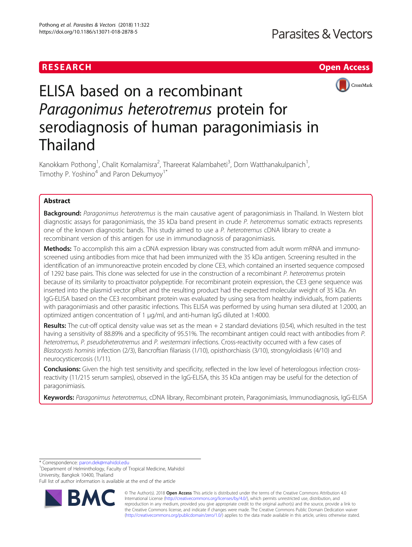## RESEARCH **RESEARCH CHANNEL EXECUTE THE EXECUTIVE OPEN Access**



# ELISA based on a recombinant Paragonimus heterotremus protein for serodiagnosis of human paragonimiasis in Thailand

Kanokkarn Pothong<sup>1</sup>, Chalit Komalamisra<sup>2</sup>, Thareerat Kalambaheti<sup>3</sup>, Dorn Watthanakulpanich<sup>1</sup> , Timothy P. Yoshino<sup>4</sup> and Paron Dekumyoy<sup>1\*</sup>

## Abstract

Background: Paragonimus heterotremus is the main causative agent of paragonimiasis in Thailand. In Western blot diagnostic assays for paragonimiasis, the 35 kDa band present in crude P. heterotremus somatic extracts represents one of the known diagnostic bands. This study aimed to use a P. heterotremus cDNA library to create a recombinant version of this antigen for use in immunodiagnosis of paragonimiasis.

Methods: To accomplish this aim a cDNA expression library was constructed from adult worm mRNA and immunoscreened using antibodies from mice that had been immunized with the 35 kDa antigen. Screening resulted in the identification of an immunoreactive protein encoded by clone CE3, which contained an inserted sequence composed of 1292 base pairs. This clone was selected for use in the construction of a recombinant P. heterotremus protein because of its similarity to proactivator polypeptide. For recombinant protein expression, the CE3 gene sequence was inserted into the plasmid vector pRset and the resulting product had the expected molecular weight of 35 kDa. An IgG-ELISA based on the CE3 recombinant protein was evaluated by using sera from healthy individuals, from patients with paragonimiasis and other parasitic infections. This ELISA was performed by using human sera diluted at 1:2000, an optimized antigen concentration of 1 μg/ml, and anti-human IgG diluted at 1:4000.

Results: The cut-off optical density value was set as the mean  $+2$  standard deviations (0.54), which resulted in the test having a sensitivity of 88.89% and a specificity of 95.51%. The recombinant antigen could react with antibodies from P. heterotremus, P. pseudoheterotremus and P. westermani infections. Cross-reactivity occurred with a few cases of Blastocystis hominis infection (2/3), Bancroftian filariasis (1/10), opisthorchiasis (3/10), strongyloidiasis (4/10) and neurocysticercosis (1/11).

Conclusions: Given the high test sensitivity and specificity, reflected in the low level of heterologous infection crossreactivity (11/215 serum samples), observed in the IgG-ELISA, this 35 kDa antigen may be useful for the detection of paragonimiasis.

Keywords: Paragonimus heterotremus, cDNA library, Recombinant protein, Paragonimiasis, Immunodiagnosis, IgG-ELISA

\* Correspondence: [paron.dek@mahidol.edu](mailto:paron.dek@mahidol.edu) <sup>1</sup>

<sup>1</sup>Department of Helminthology, Faculty of Tropical Medicine, Mahidol University, Bangkok 10400, Thailand

Full list of author information is available at the end of the article



© The Author(s). 2018 Open Access This article is distributed under the terms of the Creative Commons Attribution 4.0 International License [\(http://creativecommons.org/licenses/by/4.0/](http://creativecommons.org/licenses/by/4.0/)), which permits unrestricted use, distribution, and reproduction in any medium, provided you give appropriate credit to the original author(s) and the source, provide a link to the Creative Commons license, and indicate if changes were made. The Creative Commons Public Domain Dedication waiver [\(http://creativecommons.org/publicdomain/zero/1.0/](http://creativecommons.org/publicdomain/zero/1.0/)) applies to the data made available in this article, unless otherwise stated.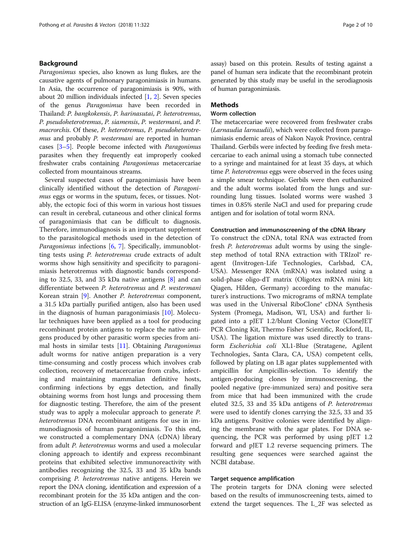## Background

Paragonimus species, also known as lung flukes, are the causative agents of pulmonary paragonimiasis in humans. In Asia, the occurrence of paragonimiasis is 90%, with about 20 million individuals infected [\[1,](#page-9-0) [2](#page-9-0)]. Seven species of the genus Paragonimus have been recorded in Thailand: P. bangkokensis, P. harinasutai, P. heterotremus, P. pseudoheterotremus, P. siamensis, P. westermani, and P. macrorchis. Of these, P. heterotremus, P. pseudoheterotremus and probably P. westermani are reported in human cases [\[3](#page-9-0)–[5\]](#page-9-0). People become infected with Paragonimus parasites when they frequently eat improperly cooked freshwater crabs containing Paragonimus metacercariae collected from mountainous streams.

Several suspected cases of paragonimiasis have been clinically identified without the detection of Paragonimus eggs or worms in the sputum, feces, or tissues. Notably, the ectopic foci of this worm in various host tissues can result in cerebral, cutaneous and other clinical forms of paragonimiasis that can be difficult to diagnosis. Therefore, immunodiagnosis is an important supplement to the parasitological methods used in the detection of Paragonimus infections [\[6](#page-9-0), [7](#page-9-0)]. Specifically, immunoblotting tests using P. heterotremus crude extracts of adult worms show high sensitivity and specificity to paragonimiasis heterotremus with diagnostic bands corresponding to 32.5, 33, and 35 kDa native antigens [[8\]](#page-9-0) and can differentiate between P. heterotremus and P. westermani Korean strain [[9\]](#page-9-0). Another P. heterotremus component, a 31.5 kDa partially purified antigen, also has been used in the diagnosis of human paragonimiasis [\[10](#page-9-0)]. Molecular techniques have been applied as a tool for producing recombinant protein antigens to replace the native antigens produced by other parasitic worm species from animal hosts in similar tests  $[11]$  $[11]$ . Obtaining *Paragonimus* adult worms for native antigen preparation is a very time-consuming and costly process which involves crab collection, recovery of metacercariae from crabs, infecting and maintaining mammalian definitive hosts, confirming infections by eggs detection, and finally obtaining worms from host lungs and processing them for diagnostic testing. Therefore, the aim of the present study was to apply a molecular approach to generate P. heterotremus DNA recombinant antigens for use in immunodiagnosis of human paragonimiasis. To this end, we constructed a complementary DNA (cDNA) library from adult P. heterotremus worms and used a molecular cloning approach to identify and express recombinant proteins that exhibited selective immunoreactivity with antibodies recognizing the 32.5, 33 and 35 kDa bands comprising P. heterotremus native antigens. Herein we report the DNA cloning, identification and expression of a recombinant protein for the 35 kDa antigen and the construction of an IgG-ELISA (enzyme-linked immunosorbent

assay) based on this protein. Results of testing against a panel of human sera indicate that the recombinant protein generated by this study may be useful in the serodiagnosis of human paragonimiasis.

## **Methods**

## Worm collection

The metacercariae were recovered from freshwater crabs (Larnaudia larnaudii), which were collected from paragonimiasis endemic areas of Nakon Nayok Province, central Thailand. Gerbils were infected by feeding five fresh metacercariae to each animal using a stomach tube connected to a syringe and maintained for at least 35 days, at which time *P. heterotremus* eggs were observed in the feces using a simple smear technique. Gerbils were then euthanized and the adult worms isolated from the lungs and surrounding lung tissues. Isolated worms were washed 3 times in 0.85% sterile NaCl and used for preparing crude antigen and for isolation of total worm RNA.

#### Construction and immunoscreening of the cDNA library

To construct the cDNA, total RNA was extracted from fresh *P. heterotremus* adult worms by using the singlestep method of total RNA extraction with TRIzol® reagent (Invitrogen-Life Technologies, Carlsbad, CA, USA). Messenger RNA (mRNA) was isolated using a solid-phase oligo-dT matrix (Oligotex mRNA mini kit; Qiagen, Hilden, Germany) according to the manufacturer's instructions. Two micrograms of mRNA template was used in the Universal RiboClone® cDNA Synthesis System (Promega, Madison, WI, USA) and further ligated into a pJET 1.2/blunt Cloning Vector (CloneJET PCR Cloning Kit, Thermo Fisher Scientific, Rockford, IL, USA). The ligation mixture was used directly to transform Escherichia coli XL1-Blue (Stratagene, Agilent Technologies, Santa Clara, CA, USA) competent cells, followed by plating on LB agar plates supplemented with ampicillin for Ampicillin-selection. To identify the antigen-producing clones by immunoscreening, the pooled negative (pre-immunized sera) and positive sera from mice that had been immunized with the crude eluted 32.5, 33 and 35 kDa antigens of P. heterotremus were used to identify clones carrying the 32.5, 33 and 35 kDa antigens. Positive colonies were identified by aligning the membrane with the agar plates. For DNA sequencing, the PCR was performed by using pJET 1.2 forward and pJET 1.2 reverse sequencing primers. The resulting gene sequences were searched against the NCBI database.

#### Target sequence amplification

The protein targets for DNA cloning were selected based on the results of immunoscreening tests, aimed to extend the target sequences. The L\_2F was selected as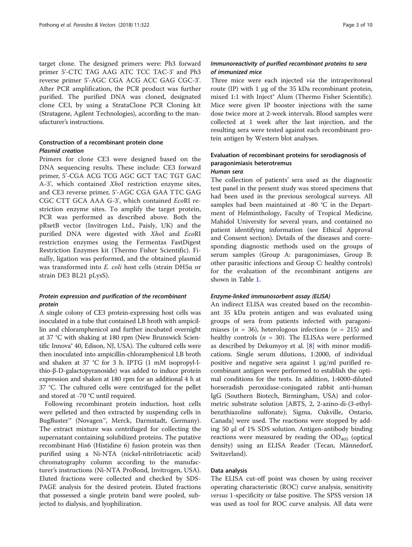target clone. The designed primers were: Ph3 forward primer 5'-CTC TAG AAG ATC TCC TAC-3' and Ph3 reverse primer 5'-AGC CGA ACG ACC GAG CGC-3'. After PCR amplification, the PCR product was further purified. The purified DNA was cloned, designated clone CE3, by using a StrataClone PCR Cloning kit (Stratagene, Agilent Technologies), according to the manufacturer's instructions.

## Construction of a recombinant protein clone Plasmid creation

Primers for clone CE3 were designed based on the DNA sequencing results. These include: CE3 forward primer, 5'-CGA ACG TCG AGC GCT TAC TGT GAC A-3', which contained XhoI restriction enzyme sites, and CE3 reverse primer, 5'-AGC CGA GAA TTC GAG CGC CTT GCA AAA G-3', which contained EcoRI restriction enzyme sites. To amplify the target protein, PCR was performed as described above. Both the pRsetB vector (Invitrogen Ltd., Paisly, UK) and the purified DNA were digested with XhoI and EcoRI restriction enzymes using the Fermentas FastDigest Restriction Enzymes kit (Thermo Fisher Scientific). Finally, ligation was performed, and the obtained plasmid was transformed into E. coli host cells (strain DH5α or strain DE3 BL21 pLysS).

## Protein expression and purification of the recombinant protein

A single colony of CE3 protein-expressing host cells was inoculated in a tube that contained LB broth with ampicillin and chloramphenicol and further incubated overnight at 37 °C with shaking at 180 rpm (New Brunswick Scientific Innova® 40, Edison, NJ, USA). The cultured cells were then inoculated into ampicillin-chloramphenicol LB broth and shaken at 37 °C for 3 h. IPTG (1 mM isopropyl-lthio-β-D-galactopyranoside) was added to induce protein expression and shaken at 180 rpm for an additional 4 h at 37 °C. The cultured cells were centrifuged for the pellet and stored at -70 °C until required.

Following recombinant protein induction, host cells were pelleted and then extracted by suspending cells in BugBuster™ (Novagen™, Merck, Darmstadt, Germany). The extract mixture was centrifuged for collecting the supernatant containing solubilized proteins. The putative recombinant His6 (Histidine 6) fusion protein was then purified using a Ni-NTA (nickel-nitrilotriacetic acid) chromatography column according to the manufacturer's instructions (Ni-NTA ProBond, Invitrogen, USA). Eluted fractions were collected and checked by SDS-PAGE analysis for the desired protein. Eluted fractions that possessed a single protein band were pooled, subjected to dialysis, and lyophilization.

## Immunoreactivity of purified recombinant proteins to sera of immunized mice

Three mice were each injected via the intraperitoneal route (IP) with 1 μg of the 35 kDa recombinant protein, mixed 1:1 with Inject® Alum (Thermo Fisher Scientific). Mice were given IP booster injections with the same dose twice more at 2-week intervals. Blood samples were collected at 1 week after the last injection, and the resulting sera were tested against each recombinant protein antigen by Western blot analyses.

## Evaluation of recombinant proteins for serodiagnosis of paragonimiasis heterotremus

## Human sera

The collection of patients' sera used as the diagnostic test panel in the present study was stored specimens that had been used in the previous serological surveys. All samples had been maintained at -80 °C in the Department of Helminthology, Faculty of Tropical Medicine, Mahidol University for several years, and contained no patient identifying information (see Ethical Approval and Consent section). Details of the diseases and corresponding diagnostic methods used on the groups of serum samples (Group A: paragonimiases, Group B: other parasitic infections and Group C: healthy controls) for the evaluation of the recombinant antigens are shown in Table [1](#page-3-0).

## Enzyme-linked immunosorbent assay (ELISA)

An indirect ELISA was created based on the recombinant 35 kDa protein antigen and was evaluated using groups of sera from patients infected with paragonimiases ( $n = 36$ ), heterologous infections ( $n = 215$ ) and healthy controls ( $n = 30$ ). The ELISAs were performed as described by Dekumyoy et al. [[8\]](#page-9-0) with minor modifications. Single serum dilutions, 1:2000, of individual positive and negative sera against 1 μg/ml purified recombinant antigen were performed to establish the optimal conditions for the tests. In addition, 1:4000-diluted horseradish peroxidase-conjugated rabbit anti-human IgG (Southern Biotech, Birmingham, USA) and colormetric substrate solution [ABTS, 2, 2-azino-di-(3-ethylbenzthiazoline sulfonate); Sigma, Oakville, Ontario, Canada] were used. The reactions were stopped by adding 50 μl of 1% SDS solution. Antigen-antibody binding reactions were measured by reading the  $OD<sub>405</sub>$  (optical density) using an ELISA Reader (Tecan, Männedorf, Switzerland).

## Data analysis

The ELISA cut-off point was chosen by using receiver operating characteristic (ROC) curve analysis, sensitivity versus 1-specificity or false positive. The SPSS version 18 was used as tool for ROC curve analysis. All data were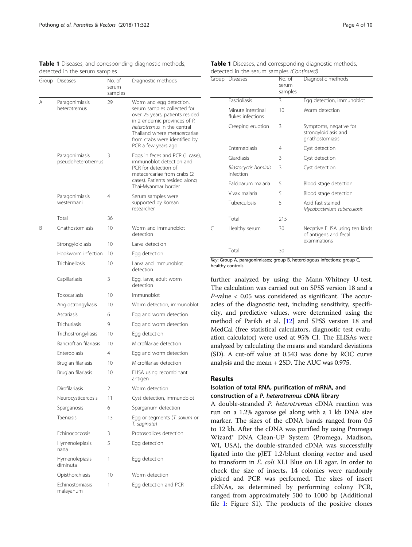<span id="page-3-0"></span>

| Table 1 Diseases, and corresponding diagnostic methods, |  |  |
|---------------------------------------------------------|--|--|
| detected in the serum samples                           |  |  |

|   | Group Diseases                       | No. of<br>serum<br>samples | Diagnostic methods                                                                                                                                                                                                                               |
|---|--------------------------------------|----------------------------|--------------------------------------------------------------------------------------------------------------------------------------------------------------------------------------------------------------------------------------------------|
| Α | Paragonimiasis<br>heterotremus       | 29                         | Worm and egg detection,<br>serum samples collected for<br>over 25 years, patients resided<br>in 2 endemic provinces of P.<br>heterotremus in the central<br>Thailand where metacercariae<br>from crabs were identified by<br>PCR a few years ago |
|   | Paragonimiasis<br>pseudoheterotremus | 3                          | Eggs in feces and PCR (1 case),<br>immunoblot detection and<br>PCR for detection of<br>metacercariae from crabs (2<br>cases). Patients resided along<br>Thai-Myanmar border                                                                      |
|   | Paragonimiasis<br>westermani         | 4                          | Serum samples were<br>supported by Korean<br>researcher                                                                                                                                                                                          |
|   | Total                                | 36                         |                                                                                                                                                                                                                                                  |
| Β | Gnathostomiasis                      | 10                         | Worm and immunoblot<br>detection                                                                                                                                                                                                                 |
|   | Strongyloidiasis                     | 10                         | Larva detection                                                                                                                                                                                                                                  |
|   | Hookworm infection                   | 10                         | Egg detection                                                                                                                                                                                                                                    |
|   | Trichinellosis                       | 10                         | Larva and immunoblot<br>detection                                                                                                                                                                                                                |
|   | Capillariasis                        | 3                          | Egg, larva, adult worm<br>detection                                                                                                                                                                                                              |
|   | Toxocariasis                         | 10                         | Immunoblot                                                                                                                                                                                                                                       |
|   | Angiostrongyliasis                   | 10                         | Worm detection, immunoblot                                                                                                                                                                                                                       |
|   | Ascariasis                           | 6                          | Egg and worm detection                                                                                                                                                                                                                           |
|   | Trichuriasis                         | 9                          | Egg and worm detection                                                                                                                                                                                                                           |
|   | Trichostrongyliasis                  | 10                         | Egg detection                                                                                                                                                                                                                                    |
|   | Bancroftian filariasis               | 10                         | Microfilariae detection                                                                                                                                                                                                                          |
|   | <b>Enterobiasis</b>                  | 4                          | Egg and worm detection                                                                                                                                                                                                                           |
|   | Brugian filariasis                   | 10                         | Microfilariae detection                                                                                                                                                                                                                          |
|   | Brugian filariasis                   | 10                         | ELISA using recombinant<br>antigen                                                                                                                                                                                                               |
|   | <b>Dirofilariasis</b>                | 2                          | Worm detection                                                                                                                                                                                                                                   |
|   | Neurocysticercosis                   | 11                         | Cyst detection, immunoblot                                                                                                                                                                                                                       |
|   | Sparganosis                          | 6                          | Sparganum detection                                                                                                                                                                                                                              |
|   | Taeniasis                            | 13                         | Egg or segments (T. solium or<br>T. saginata)                                                                                                                                                                                                    |
|   | Echinococcosis                       | 3                          | Protoscolices detection                                                                                                                                                                                                                          |
|   | Hymenolepiasis<br>nana               | 5                          | Egg detection                                                                                                                                                                                                                                    |
|   | Hymenolepiasis<br>diminuta           | 1                          | Egg detection                                                                                                                                                                                                                                    |
|   | Opisthorchiasis                      | 10                         | Worm detection                                                                                                                                                                                                                                   |
|   | Echinostomiasis<br>malayanum         | 1                          | Egg detection and PCR                                                                                                                                                                                                                            |

|                                           | <b>Table 1</b> Diseases, and corresponding diagnostic methods, |
|-------------------------------------------|----------------------------------------------------------------|
| detected in the serum samples (Continued) |                                                                |

| Group | <b>Diseases</b>                          | No. of<br>serum<br>samples | Diagnostic methods                                                      |
|-------|------------------------------------------|----------------------------|-------------------------------------------------------------------------|
|       | Fascioliasis                             | 3                          | Egg detection, immunoblot                                               |
|       | Minute intestinal<br>flukes infections   | 10                         | Worm detection                                                          |
|       | Creeping eruption                        | 3                          | Symptoms, negative for<br>strongyloidiasis and<br>gnathostomiasis       |
|       | <b>Entamebiasis</b>                      | 4                          | Cyst detection                                                          |
|       | Giardiasis                               | 3                          | Cyst detection                                                          |
|       | <b>Blastocyctis hominis</b><br>infection | 3                          | Cyst detection                                                          |
|       | Falciparum malaria                       | 5                          | Blood stage detection                                                   |
|       | Vivax malaria                            | 5                          | Blood stage detection                                                   |
|       | Tuberculosis                             | 5                          | Acid fast stained<br>Mycobacterium tuberculosis                         |
|       | Total                                    | 215                        |                                                                         |
| C     | Healthy serum                            | 30                         | Negative ELISA using ten kinds<br>of antigens and fecal<br>examinations |
|       | Total                                    | 30                         |                                                                         |

Key: Group A, paragonimiases; group B, heterologous infections; group C, healthy controls

further analyzed by using the Mann-Whitney U-test. The calculation was carried out on SPSS version 18 and a P-value < 0.05 was considered as significant. The accuracies of the diagnostic test, including sensitivity, specificity, and predictive values, were determined using the method of Parikh et al. [\[12\]](#page-9-0) and SPSS version 18 and MedCal (free statistical calculators, diagnostic test evaluation calculator) were used at 95% CI. The ELISAs were analyzed by calculating the means and standard deviations (SD). A cut-off value at 0.543 was done by ROC curve analysis and the mean + 2SD. The AUC was 0.975.

#### Results

## Isolation of total RNA, purification of mRNA, and construction of a P. heterotremus cDNA library

A double-stranded P. heterotremus cDNA reaction was run on a 1.2% agarose gel along with a 1 kb DNA size marker. The sizes of the cDNA bands ranged from 0.5 to 12 kb. After the cDNA was purified by using Promega Wizard® DNA Clean-UP System (Promega, Madison, WI, USA), the double-stranded cDNA was successfully ligated into the pJET 1.2/blunt cloning vector and used to transform in E. coli XLI Blue on LB agar. In order to check the size of inserts, 14 colonies were randomly picked and PCR was performed. The sizes of insert cDNAs, as determined by performing colony PCR, ranged from approximately 500 to 1000 bp (Additional file [1:](#page-8-0) Figure S1). The products of the positive clones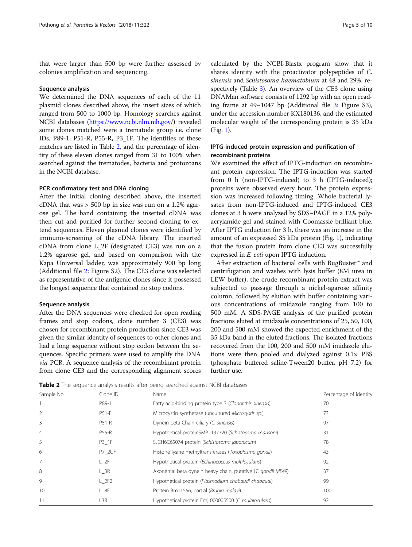that were larger than 500 bp were further assessed by colonies amplification and sequencing.

#### Sequence analysis

We determined the DNA sequences of each of the 11 plasmid clones described above, the insert sizes of which ranged from 500 to 1000 bp. Homology searches against NCBI databases [\(https://www.ncbi.nlm.nih.gov/](http://www.ncbi.nlm.nih.gov)) revealed some clones matched were a trematode group i.e. clone IDs, P89-1, P51-R, P55-R, P3\_1F. The identities of these matches are listed in Table 2, and the percentage of identity of these eleven clones ranged from 31 to 100% when searched against the trematodes, bacteria and protozoans in the NCBI database.

## PCR confirmatory test and DNA cloning

After the initial cloning described above, the inserted cDNA that was > 500 bp in size was run on a 1.2% agarose gel. The band containing the inserted cDNA was then cut and purified for further second cloning to extend sequences. Eleven plasmid clones were identified by immuno-screening of the cDNA library. The inserted cDNA from clone L\_2F (designated CE3) was run on a 1.2% agarose gel, and based on comparison with the Kapa Universal ladder, was approximately 900 bp long (Additional file [2](#page-8-0): Figure S2). The CE3 clone was selected as representative of the antigenic clones since it possessed the longest sequence that contained no stop codons.

#### Sequence analysis

After the DNA sequences were checked for open reading frames and stop codons, clone number 3 (CE3) was chosen for recombinant protein production since CE3 was given the similar identity of sequences to other clones and had a long sequence without stop codon between the sequences. Specific primers were used to amplify the DNA via PCR. A sequence analysis of the recombinant protein from clone CE3 and the corresponding alignment scores calculated by the NCBI-Blastx program show that it shares identity with the proactivator polypeptides of C. sinensis and Schistosoma haematobium at 48 and 29%, respectively (Table [3](#page-5-0)). An overview of the CE3 clone using DNAMan software consists of 1292 bp with an open reading frame at 49–1047 bp (Additional file [3](#page-8-0): Figure S3), under the accession number KX180136, and the estimated molecular weight of the corresponding protein is 35 kDa (Fig. [1](#page-5-0)).

## IPTG-induced protein expression and purification of recombinant proteins

We examined the effect of IPTG-induction on recombinant protein expression. The IPTG-induction was started from 0 h (non-IPTG-induced) to 3 h (IPTG-induced); proteins were observed every hour. The protein expression was increased following timing. Whole bacterial lysates from non-IPTG-induced and IPTG-induced CE3 clones at 3 h were analyzed by SDS–PAGE in a 12% polyacrylamide gel and stained with Coomassie brilliant blue. After IPTG induction for 3 h, there was an increase in the amount of an expressed 35 kDa protein (Fig. [1](#page-5-0)), indicating that the fusion protein from clone CE3 was successfully expressed in E. coli upon IPTG induction.

After extraction of bacterial cells with BugBuster™ and centrifugation and washes with lysis buffer (8M urea in LEW buffer), the crude recombinant protein extract was subjected to passage through a nickel-agarose affinity column, followed by elution with buffer containing various concentrations of imidazole ranging from 100 to 500 mM. A SDS-PAGE analysis of the purified protein fractions eluted at imidazole concentrations of 25, 50, 100, 200 and 500 mM showed the expected enrichment of the 35 kDa band in the eluted fractions. The isolated fractions recovered from the 100, 200 and 500 mM imidazole elutions were then pooled and dialyzed against  $0.1 \times$  PBS (phosphate buffered saline-Tween20 buffer, pH 7.2) for further use.

Table 2 The sequence analysis results after being searched against NCBI databases

| Sample No.     | Clone ID         | Name                                                        | Percentage of identity |
|----------------|------------------|-------------------------------------------------------------|------------------------|
|                | P89-1            | Fatty acid-binding protein type 3 (Clonorchis sinensis)     | 70                     |
| $\overline{2}$ | $P51-F$          | Microcystin synthetase (uncultured Microcystis sp.)         | 73                     |
| 3              | <b>P51-R</b>     | Dynein beta Chain ciliary (C. sinensis)                     | 97                     |
| $\overline{4}$ | <b>P55-R</b>     | Hypothetical proteinSMP_137720 (Schistosoma mansoni)        | 31                     |
| 5              | $P3_1F$          | SJCH6C65074 protein (Schistosoma japonicum)                 | 78                     |
| 6              | P7 2UF           | Histone lysine methyltransferases (Toxoplasma gondii)       | 43                     |
| 7              | L <sub>2F</sub>  | Hypothetical protein (Echinococcus multilocularis)          | 92                     |
| 8              | L 3R             | Axonemal beta dynein heavy chain, putative (T. gondii ME49) | 37                     |
| 9              | L <sub>2F2</sub> | Hypothetical protein (Plasmodium chabaudi chabaudi)         | 99                     |
| 10             | $L_8F$           | Protein Bm11556, partial (Brugia malayi)                    | 100                    |
| 11             | L3R              | Hypothetical protein Emi 000005500 (E. multilocularis)      | 92                     |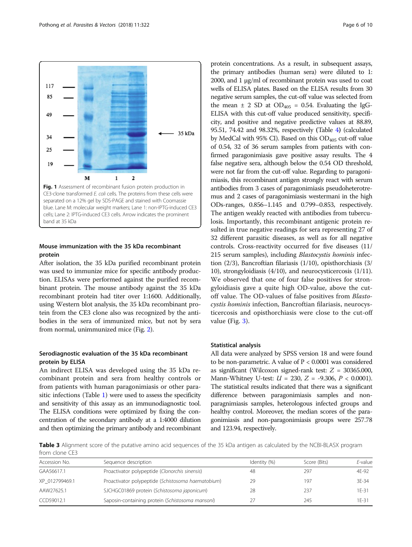<span id="page-5-0"></span>

## Mouse immunization with the 35 kDa recombinant protein

After isolation, the 35 kDa purified recombinant protein was used to immunize mice for specific antibody production. ELISAs were performed against the purified recombinant protein. The mouse antibody against the 35 kDa recombinant protein had titer over 1:1600. Additionally, using Western blot analysis, the 35 kDa recombinant protein from the CE3 clone also was recognized by the antibodies in the sera of immunized mice, but not by sera from normal, unimmunized mice (Fig. [2](#page-6-0)).

## Serodiagnostic evaluation of the 35 kDa recombinant protein by ELISA

An indirect ELISA was developed using the 35 kDa recombinant protein and sera from healthy controls or from patients with human paragonimiasis or other parasitic infections (Table [1](#page-3-0)) were used to assess the specificity and sensitivity of this assay as an immunodiagnostic tool. The ELISA conditions were optimized by fixing the concentration of the secondary antibody at a 1:4000 dilution and then optimizing the primary antibody and recombinant

protein concentrations. As a result, in subsequent assays, the primary antibodies (human sera) were diluted to 1: 2000, and 1 μg/ml of recombinant protein was used to coat wells of ELISA plates. Based on the ELISA results from 30 negative serum samples, the cut-off value was selected from the mean  $\pm$  2 SD at OD<sub>405</sub> = 0.54. Evaluating the IgG-ELISA with this cut-off value produced sensitivity, specificity, and positive and negative predictive values at 88.89, 95.51, 74.42 and 98.32%, respectively (Table [4](#page-6-0)) (calculated by MedCal with 95% CI). Based on this  $OD<sub>405</sub>$  cut-off value of 0.54, 32 of 36 serum samples from patients with confirmed paragonimiasis gave positive assay results. The 4 false negative sera, although below the 0.54 OD threshold, were not far from the cut-off value. Regarding to paragonimiasis, this recombinant antigen strongly react with serum antibodies from 3 cases of paragonimiasis pseudoheterotremus and 2 cases of paragonimiasis westermani in the high ODs-ranges, 0.856–1.145 and 0.799–0.853, respectively. The antigen weakly reacted with antibodies from tuberculosis. Importantly, this recombinant antigenic protein resulted in true negative readings for sera representing 27 of 32 different parasitic diseases, as well as for all negative controls. Cross-reactivity occurred for five diseases (11/ 215 serum samples), including Blastocystis hominis infection (2/3), Bancroftian filariasis (1/10), opisthorchiasis (3/ 10), strongyloidiasis (4/10), and neurocysticercosis (1/11). We observed that one of four false positives for strongyloidiasis gave a quite high OD-value, above the cutoff value. The OD-values of false positives from Blastocystis hominis infection, Bancroftian filariasis, neurocysticercosis and opisthorchiasis were close to the cut-off value (Fig. [3](#page-7-0)).

#### Statistical analysis

All data were analyzed by SPSS version 18 and were found to be non-parametric. A value of  $P < 0.0001$  was considered as significant (Wilcoxon signed-rank test:  $Z = 30365.000$ , Mann-Whitney U-test:  $U = 230$ ,  $Z = -9.306$ ,  $P < 0.0001$ ). The statistical results indicated that there was a significant difference between paragonimiasis samples and nonparagnimiasis samples, heterologous infected groups and healthy control. Moreover, the median scores of the paragonimiasis and non-paragonimiasis groups were 257.78 and 123.94, respectively.

Table 3 Alignment score of the putative amino acid sequences of the 35 kDa antigen as calculated by the NCBI-BLASX program from clone CE3

| Accession No.  | Sequence description                               | Identity (%) | Score (Bits) | $E$ -value |
|----------------|----------------------------------------------------|--------------|--------------|------------|
| GAA56617.1     | Proactivator polypeptide (Clonorchis sinensis)     | 48           | 297          | 4F-92      |
| XP 012799469.1 | Proactivator polypeptide (Schistosoma haematobium) | 29           | 197          | 3E-34      |
| AAW27625.1     | SJCHGC01869 protein (Schistosoma japonicum)        | 28           | 237          | $1F-31$    |
| CCD59012.1     | Saposin-containing protein (Schistosoma mansoni)   |              | 245          | $1F-31$    |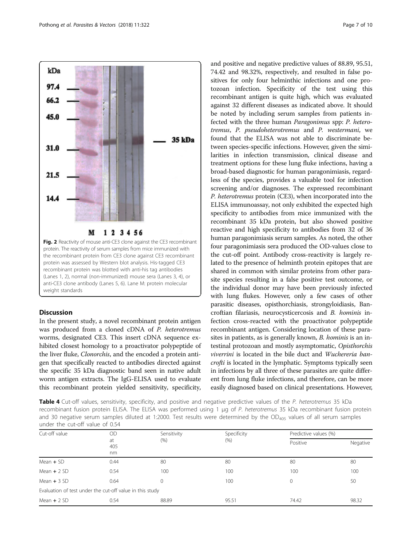<span id="page-6-0"></span>

## Discussion

In the present study, a novel recombinant protein antigen was produced from a cloned cDNA of P. heterotremus worms, designated CE3. This insert cDNA sequence exhibited closest homology to a proactivator polypeptide of the liver fluke, Clonorchis, and the encoded a protein antigen that specifically reacted to antibodies directed against the specific 35 kDa diagnostic band seen in native adult worm antigen extracts. The IgG-ELISA used to evaluate this recombinant protein yielded sensitivity, specificity, and positive and negative predictive values of 88.89, 95.51, 74.42 and 98.32%, respectively, and resulted in false positives for only four helminthic infections and one protozoan infection. Specificity of the test using this recombinant antigen is quite high, which was evaluated against 32 different diseases as indicated above. It should be noted by including serum samples from patients infected with the three human Paragonimus spp: P. heterotremus, P. pseudoheterotremus and P. westermani, we found that the ELISA was not able to discriminate between species-specific infections. However, given the similarities in infection transmission, clinical disease and treatment options for these lung fluke infections, having a broad-based diagnostic for human paragonimiasis, regardless of the species, provides a valuable tool for infection screening and/or diagnoses. The expressed recombinant P. heterotremus protein (CE3), when incorporated into the ELISA immunoassay, not only exhibited the expected high specificity to antibodies from mice immunized with the recombinant 35 kDa protein, but also showed positive reactive and high specificity to antibodies from 32 of 36 human paragonimiasis serum samples. As noted, the other four paragonimiasis sera produced the OD-values close to the cut-off point. Antibody cross-reactivity is largely related to the presence of helminth protein epitopes that are shared in common with similar proteins from other parasite species resulting in a false positive test outcome, or the individual donor may have been previously infected with lung flukes. However, only a few cases of other parasitic diseases, opisthorchiasis, strongyloidiasis, Bancroftian filariasis, neurocysticercosis and B. hominis infection cross-reacted with the proactivator polypeptide recombinant antigen. Considering location of these parasites in patients, as is generally known, *B. hominis* is an intestinal protozoan and mostly asymptomatic, Opisthorchis viverrini is located in the bile duct and Wuchereria bancrofti is located in the lymphatic. Symptoms typically seen in infections by all three of these parasites are quite different from lung fluke infections, and therefore, can be more easily diagnosed based on clinical presentations. However,

Table 4 Cut-off values, sensitivity, specificity, and positive and negative predictive values of the P. heterotremus 35 kDa recombinant fusion protein ELISA. The ELISA was performed using 1 μg of P. heterotremus 35 kDa recombinant fusion protein and 30 negative serum samples diluted at 1:2000. Test results were determined by the  $OD_{405}$  values of all serum samples under the cut-off value of 0.54

| Cut-off value                                            | OD<br>at<br>405<br>nm | Sensitivity | Specificity | Predictive values (%) |          |
|----------------------------------------------------------|-----------------------|-------------|-------------|-----------------------|----------|
|                                                          |                       | (% )        | (% )        | Positive              | Negative |
| Mean $+$ SD                                              | 0.44                  | 80          | 80          | 80                    | 80       |
| Mean $+2$ SD                                             | 0.54                  | 100         | 100         | 100                   | 100      |
| Mean $+3$ SD                                             | 0.64                  | $\Omega$    | 100         | $\mathbf 0$           | 50       |
| Evaluation of test under the cut-off value in this study |                       |             |             |                       |          |
| Mean $+2$ SD                                             | 0.54                  | 88.89       | 95.51       | 74.42                 | 98.32    |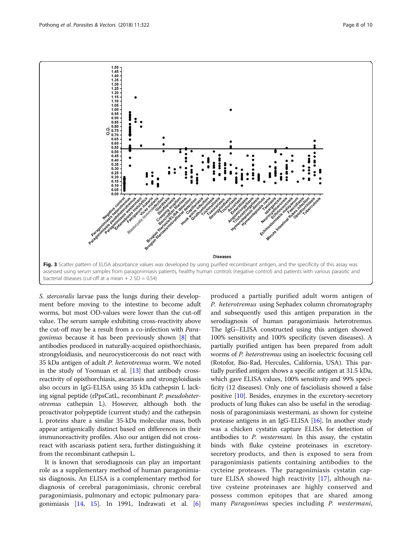<span id="page-7-0"></span>

S. stercoralis larvae pass the lungs during their development before moving to the intestine to become adult worms, but most OD-values were lower than the cut-off value. The serum sample exhibiting cross-reactivity above the cut-off may be a result from a co-infection with Paragonimus because it has been previously shown [\[8\]](#page-9-0) that antibodies produced in naturally-acquired opisthorchiasis, strongyloidiasis, and neurocysticercosis do not react with 35 kDa antigen of adult P. heterotremus worm. We noted in the study of Yoonuan et al. [\[13\]](#page-9-0) that antibody crossreactivity of opisthorchiasis, ascariasis and strongyloidiasis also occurs in IgG-ELISA using 35 kDa cathepsin L lacking signal peptide (rPpsCatL, recombinant P. pseudoheterotremus cathepsin L). However, although both the proactivator polypeptide (current study) and the cathepsin L proteins share a similar 35-kDa molecular mass, both appear antigenically distinct based on differences in their immunoreactivity profiles. Also our antigen did not crossreact with ascariasis patient sera, further distinguishing it from the recombinant cathepsin L.

It is known that serodiagnosis can play an important role as a supplementary method of human paragonimiasis diagnosis. An ELISA is a complementary method for diagnosis of cerebral paragonimiasis, chronic cerebral paragonimiasis, pulmonary and ectopic pulmonary paragonimiasis [[14,](#page-9-0) [15\]](#page-9-0). In 1991, Indrawati et al. [\[6](#page-9-0)]

produced a partially purified adult worm antigen of P. heterotremus using Sephadex column chromatography and subsequently used this antigen preparation in the serodiagnosis of human paragonimiasis heterotremus. The IgG–ELISA constructed using this antigen showed 100% sensitivity and 100% specificity (seven diseases). A partially purified antigen has been prepared from adult worms of P. heterotremus using an isoelectric focusing cell (Rotofor, Bio-Rad, Hercules, California, USA). This partially purified antigen shows a specific antigen at 31.5 kDa, which gave ELISA values, 100% sensitivity and 99% specificity (12 diseases). Only one of fascioliasis showed a false positive [\[10\]](#page-9-0). Besides, enzymes in the excretory-secretory products of lung flukes can also be useful in the serodiagnosis of paragonimiasis westermani, as shown for cysteine protease antigens in an IgG-ELISA [[16\]](#page-9-0). In another study was a chicken cystatin capture ELISA for detection of antibodies to P. westermani. In this assay, the cystatin binds with fluke cysteine proteinases in excretorysecretory products, and then is exposed to sera from paragonimiasis patients containing antibodies to the cycteine proteases. The paragonimiasis cystatin capture ELISA showed high reactivity [\[17](#page-9-0)], although native cysteine proteinases are highly conserved and possess common epitopes that are shared among many Paragonimus species including P. westermani,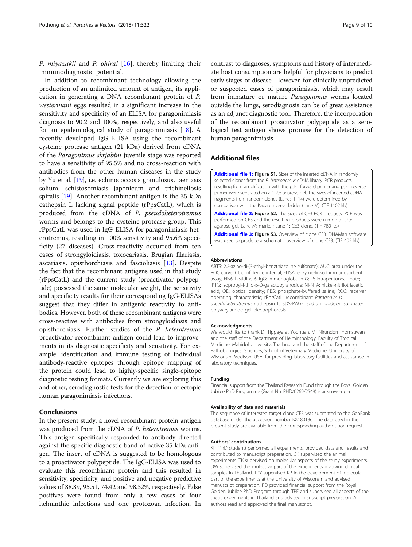<span id="page-8-0"></span>P. miyazakii and P. ohirai [\[16](#page-9-0)], thereby limiting their immunodiagnostic potential.

In addition to recombinant technology allowing the production of an unlimited amount of antigen, its application in generating a DNA recombinant protein of P. westermani eggs resulted in a significant increase in the sensitivity and specificity of an ELISA for paragonimiasis diagnosis to 90.2 and 100%, respectively, and also useful for an epidemiological study of paragonimiasis [[18\]](#page-9-0). A recently developed IgG-ELISA using the recombinant cysteine protease antigen (21 kDa) derived from cDNA of the Paragonimus skrjabini juvenile stage was reported to have a sensitivity of 95.5% and no cross-reaction with antibodies from the other human diseases in the study by Yu et al. [[19\]](#page-9-0), i.e. echinococcosis granulosus, taeniasis solium, schistosomiasis japonicum and trichinellosis spiralis [[19](#page-9-0)]. Another recombinant antigen is the 35 kDa cathepsin L lacking signal peptide (rPpsCatL), which is produced from the cDNA of P. pseudoheterotremus worms and belongs to the cysteine protease group. This rPpsCatL was used in IgG-ELISA for paragonimiasis heterotremus, resulting in 100% sensitivity and 95.6% specificity (27 diseases). Cross-reactivity occurred from ten cases of strongyloidiasis, toxocariasis, Brugian filariasis, ascariasis, opisthorchiasis and fascioliasis [[13](#page-9-0)]. Despite the fact that the recombinant antigens used in that study (rPpsCatL) and the current study (proactivator polypeptide) possessed the same molecular weight, the sensitivity and specificity results for their corresponding IgG-ELISAs suggest that they differ in antigenic reactivity to antibodies. However, both of these recombinant antigens were cross-reactive with antibodies from strongyloidiasis and opisthorchiasis. Further studies of the P. heterotremus proactivator recombinant antigen could lead to improvements in its diagnostic specificity and sensitivity. For example, identification and immune testing of individual antibody-reactive epitopes through epitope mapping of the protein could lead to highly-specific single-epitope diagnostic testing formats. Currently we are exploring this and other, serodiagnostic tests for the detection of ectopic human paragonimiasis infections.

## Conclusions

In the present study, a novel recombinant protein antigen was produced from the cDNA of P. heterotremus worms. This antigen specifically responded to antibody directed against the specific diagnostic band of native 35 kDa antigen. The insert of cDNA is suggested to be homologous to a proactivator polypeptide. The IgG-ELISA was used to evaluate this recombinant protein and this resulted in sensitivity, specificity, and positive and negative predictive values of 88.89, 95.51, 74.42 and 98.32%, respectively. False positives were found from only a few cases of four helminthic infections and one protozoan infection. In

contrast to diagnoses, symptoms and history of intermediate host consumption are helpful for physicians to predict early stages of disease. However, for clinically unpredicted or suspected cases of paragonimiasis, which may result from immature or mature Paragonimus worms located outside the lungs, serodiagnosis can be of great assistance as an adjunct diagnostic tool. Therefore, the incorporation of the recombinant proactivator polypeptide as a serological test antigen shows promise for the detection of human paragonimiasis.

## Additional files

[Additional file 1:](https://doi.org/10.1186/s13071-018-2878-5) Figure S1. Sizes of the inserted cDNA in randomly selected clones from the P. heterotremus cDNA library. PCR products resulting from amplification with the pJET forward primer and pJET reverse primer were separated on a 1.2% agarose gel. The sizes of inserted cDNA fragments from random clones (Lanes 1–14) were determined by comparison with the Kapa universal ladder (Lane M). (TIF 1102 kb)

[Additional file 2:](https://doi.org/10.1186/s13071-018-2878-5) Figure S2. The sizes of CE3 PCR products. PCR was performed on CE3 and the resulting products were run on a 1.2% agarose gel. Lane M: marker; Lane 1: CE3 clone. (TIF 780 kb)

[Additional file 3:](https://doi.org/10.1186/s13071-018-2878-5) Figure S3. Overview of clone CE3. DNAMan software was used to produce a schematic overview of clone CE3. (TIF 405 kb)

#### Abbreviations

ABTS: 2,2-azino-di-(3-ethyl-benzthiazoline sulfonate); AUC: area under the ROC curve; CI: confidence interval; ELISA: enzyme-linked immunosorbent assay; His6: histidine 6; IgG: immunoglobulin G; IP: intraperitoneal route; IPTG: isopropyl-l-thio-β-D-galactopyranoside; Ni-NTA: nickel-nitrilotriacetic acid; OD: optical density; PBS: phosphate-buffered saline; ROC: receiver operating characteristic; rPpsCatL: recombinant Paragonimus pseudoheterotremus cathepsin L; SDS-PAGE: sodium dodecyl sulphatepolyacrylamide gel electrophoresis

#### Acknowledgments

We would like to thank Dr Tippayarat Yoonuan, Mr Nirundorn Homsuwan and the staff of the Department of Helminthology, Faculty of Tropical Medicine, Mahidol University, Thailand, and the staff of the Department of Pathobiological Sciences, School of Veterinary Medicine, University of Wisconsin, Madison, USA, for providing laboratory facilities and assistance in laboratory techniques.

#### Funding

Financial support from the Thailand Research Fund through the Royal Golden Jubilee PhD Programme (Grant No. PHD/0269/2549) is acknowledged.

#### Availability of data and materials

The sequence of interested target clone CE3 was submitted to the GenBank database under the accession number KX180136. The data used in the present study are available from the corresponding author upon request.

#### Authors' contributions

KP (PhD student) performed all experiments, provided data and results and contributed to manuscript preparation. CK supervised the animal experiments. TK supervised on molecular aspects of the study experiments. DW supervised the molecular part of the experiments involving clinical samples in Thailand. TPY supervised KP in the development of molecular part of the experiments at the University of Wisconsin and advised manuscript preparation. PD provided financial support from the Royal Golden Jubilee PhD Program through TRF and supervised all aspects of the thesis experiments in Thailand and advised manuscript preparation. All authors read and approved the final manuscript.